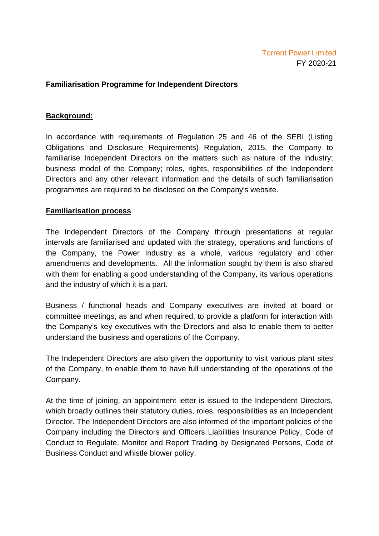## **Familiarisation Programme for Independent Directors**

## **Background:**

In accordance with requirements of Regulation 25 and 46 of the SEBI (Listing Obligations and Disclosure Requirements) Regulation, 2015, the Company to familiarise Independent Directors on the matters such as nature of the industry; business model of the Company; roles, rights, responsibilities of the Independent Directors and any other relevant information and the details of such familiarisation programmes are required to be disclosed on the Company's website.

## **Familiarisation process**

The Independent Directors of the Company through presentations at regular intervals are familiarised and updated with the strategy, operations and functions of the Company, the Power Industry as a whole, various regulatory and other amendments and developments. All the information sought by them is also shared with them for enabling a good understanding of the Company, its various operations and the industry of which it is a part.

Business / functional heads and Company executives are invited at board or committee meetings, as and when required, to provide a platform for interaction with the Company's key executives with the Directors and also to enable them to better understand the business and operations of the Company.

The Independent Directors are also given the opportunity to visit various plant sites of the Company, to enable them to have full understanding of the operations of the Company.

At the time of joining, an appointment letter is issued to the Independent Directors, which broadly outlines their statutory duties, roles, responsibilities as an Independent Director. The Independent Directors are also informed of the important policies of the Company including the Directors and Officers Liabilities Insurance Policy, Code of Conduct to Regulate, Monitor and Report Trading by Designated Persons, Code of Business Conduct and whistle blower policy.